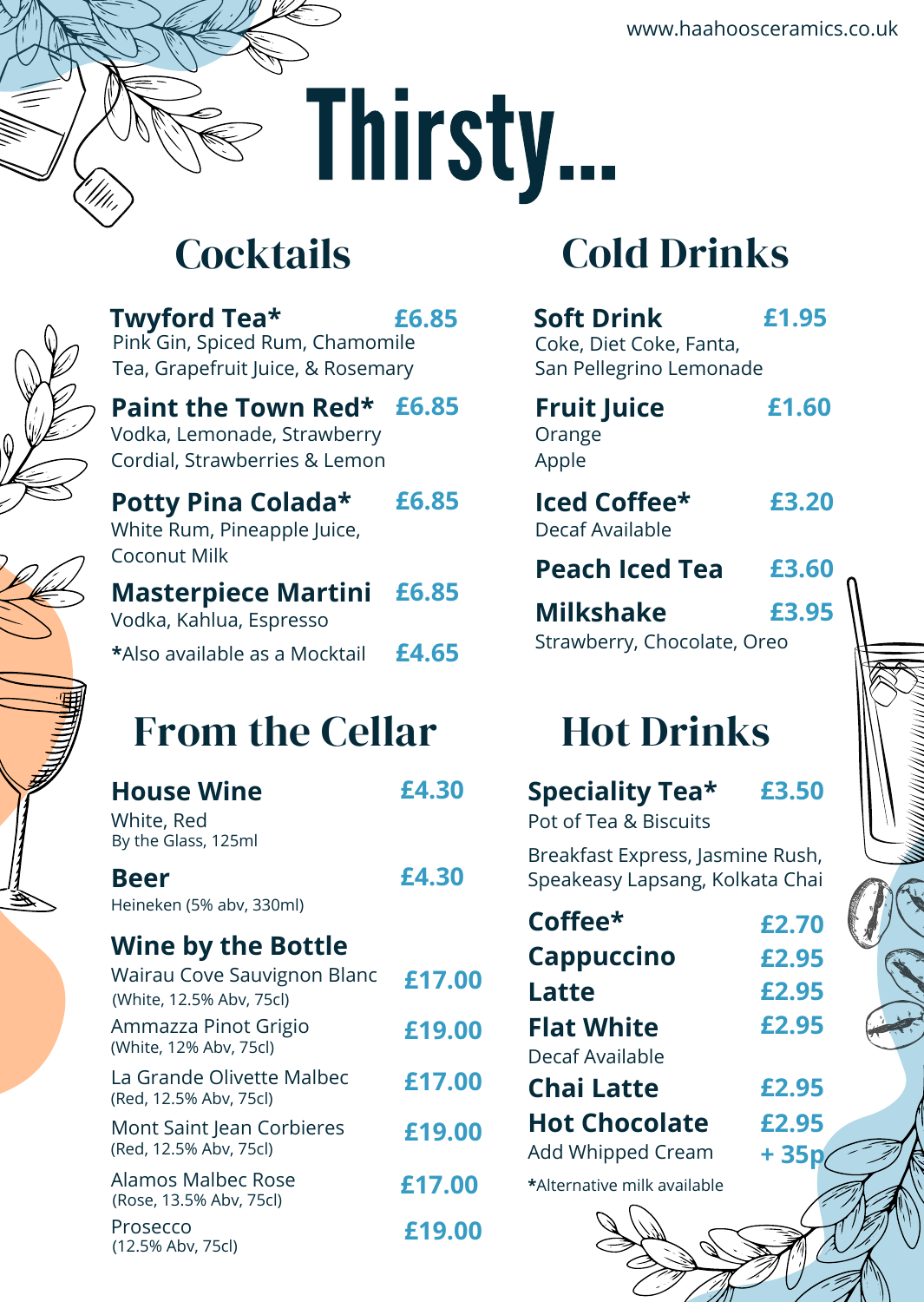## Thirsty...

#### **Cocktails**



**Twyford Tea\* £6.85**

Pink Gin, Spiced Rum, Chamomile Tea, Grapefruit Juice, & Rosemary

**Paint the Town Red\* £6.85** Vodka, Lemonade, Strawberry Cordial, Strawberries & Lemon

**Potty Pina Colada\*** White Rum, Pineapple Juice, Coconut Milk **£6.85**

**Masterpiece Martini** Vodka, Kahlua, Espresso **\***Also available as a Mocktail **£6.85 £4.65**

### From the Cellar

| <b>House Wine</b><br>White, Red<br>By the Glass, 125ml  | £4.30  |
|---------------------------------------------------------|--------|
| Beer<br>Heineken (5% abv, 330ml)                        | £4.30  |
| <b>Wine by the Bottle</b>                               |        |
| Wairau Cove Sauvignon Blanc<br>(White, 12.5% Abv, 75cl) | £17.00 |
| Ammazza Pinot Grigio<br>(White, 12% Aby, 75cl)          | £19.00 |
| La Grande Olivette Malbec<br>(Red, 12.5% Aby, 75cl)     | £17.00 |
| Mont Saint Jean Corbieres<br>(Red, 12.5% Abv, 75cl)     | £19.00 |
| Alamos Malbec Rose<br>(Rose, 13.5% Abv, 75cl)           | £17.00 |
| Prosecco<br>(12.5% Abv, 75cl)                           | £19.00 |

#### Cold Drinks

| <b>Soft Drink</b><br>Coke, Diet Coke, Fanta,                        | £1.95  |  |  |
|---------------------------------------------------------------------|--------|--|--|
| San Pellegrino Lemonade                                             |        |  |  |
| <b>Fruit Juice</b><br>Orange<br>Apple                               | £1.60  |  |  |
| <b>Iced Coffee*</b><br>Decaf Available                              | £3.20  |  |  |
| <b>Peach Iced Tea</b>                                               | £3.60  |  |  |
| <b>Milkshake</b>                                                    | £3.95  |  |  |
| Strawberry, Chocolate, Oreo                                         |        |  |  |
| <b>Hot Drinks</b>                                                   |        |  |  |
| <b>Speciality Tea*</b><br>Pot of Tea & Biscuits                     | £3.50  |  |  |
| Breakfast Express, Jasmine Rush,<br>Speakeasy Lapsang, Kolkata Chai |        |  |  |
| Coffee*                                                             | £2.70  |  |  |
| Cappuccino                                                          | £2.95  |  |  |
| Latte                                                               | £2.95  |  |  |
| <b>Flat White</b>                                                   | £2.95  |  |  |
| Decaf Available                                                     |        |  |  |
| <b>Chai Latte</b>                                                   | £2.95  |  |  |
| <b>Hot Chocolate</b>                                                | £2.95  |  |  |
| Add Whipped Cream                                                   | $+35p$ |  |  |
| *Alternative milk available                                         |        |  |  |